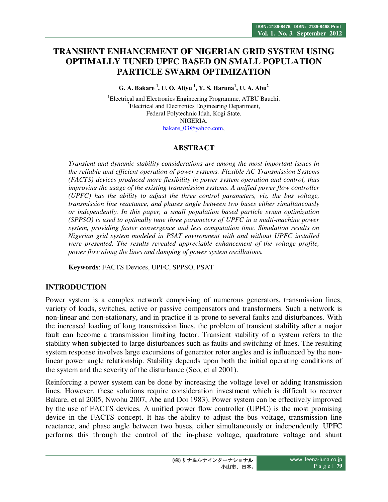# **TRANSIENT ENHANCEMENT OF NIGERIAN GRID SYSTEM USING OPTIMALLY TUNED UPFC BASED ON SMALL POPULATION PARTICLE SWARM OPTIMIZATION**

**G. A. Bakare <sup>1</sup> , U. O. Aliyu <sup>1</sup> , Y. S. Haruna<sup>1</sup> , U. A. Abu<sup>2</sup>**

<sup>1</sup>Electrical and Electronics Engineering Programme, ATBU Bauchi. <sup>2</sup>Electrical and Electronics Engineering Department, Federal Polytechnic Idah, Kogi State. NIGERIA. bakare\_03@yahoo.com,

## **ABSTRACT**

*Transient and dynamic stability considerations are among the most important issues in the reliable and efficient operation of power systems. Flexible AC Transmission Systems (FACTS) devices produced more flexibility in power system operation and control, thus improving the usage of the existing transmission systems. A unified power flow controller (UPFC) has the ability to adjust the three control parameters, viz. the bus voltage, transmission line reactance, and phases angle between two buses either simultaneously or independently. In this paper, a small population based particle swam optimization (SPPSO) is used to optimally tune three parameters of UPFC in a multi-machine power system, providing faster convergence and less computation time. Simulation results on Nigerian grid system modeled in PSAT environment with and without UPFC installed were presented. The results revealed appreciable enhancement of the voltage profile, power flow along the lines and damping of power system oscillations.* 

**Keywords**: FACTS Devices, UPFC, SPPSO, PSAT

## **INTRODUCTION**

Power system is a complex network comprising of numerous generators, transmission lines, variety of loads, switches, active or passive compensators and transformers. Such a network is non-linear and non-stationary, and in practice it is prone to several faults and disturbances. With the increased loading of long transmission lines, the problem of transient stability after a major fault can become a transmission limiting factor. Transient stability of a system refers to the stability when subjected to large disturbances such as faults and switching of lines. The resulting system response involves large excursions of generator rotor angles and is influenced by the nonlinear power angle relationship. Stability depends upon both the initial operating conditions of the system and the severity of the disturbance (Seo, et al 2001).

Reinforcing a power system can be done by increasing the voltage level or adding transmission lines. However, these solutions require consideration investment which is difficult to recover Bakare, et al 2005, Nwohu 2007, Abe and Doi 1983). Power system can be effectively improved by the use of FACTS devices. A unified power flow controller (UPFC) is the most promising device in the FACTS concept. It has the ability to adjust the bus voltage, transmission line reactance, and phase angle between two buses, either simultaneously or independently. UPFC performs this through the control of the in-phase voltage, quadrature voltage and shunt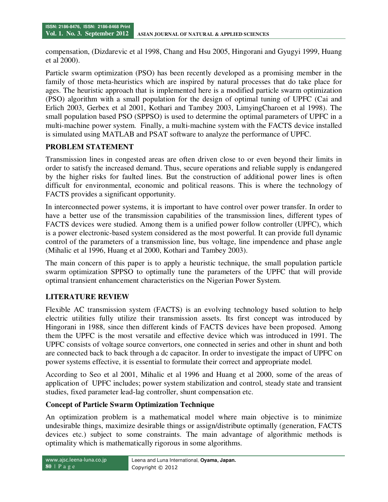compensation, (Dizdarevic et al 1998, Chang and Hsu 2005, Hingorani and Gyugyi 1999, Huang et al 2000).

Particle swarm optimization (PSO) has been recently developed as a promising member in the family of those meta-heuristics which are inspired by natural processes that do take place for ages. The heuristic approach that is implemented here is a modified particle swarm optimization (PSO) algorithm with a small population for the design of optimal tuning of UPFC (Cai and Erlich 2003, Gerbex et al 2001, Kothari and Tambey 2003, LimyingCharoen et al 1998). The small population based PSO (SPPSO) is used to determine the optimal parameters of UPFC in a multi-machine power system. Finally, a multi-machine system with the FACTS device installed is simulated using MATLAB and PSAT software to analyze the performance of UPFC.

# **PROBLEM STATEMENT**

Transmission lines in congested areas are often driven close to or even beyond their limits in order to satisfy the increased demand. Thus, secure operations and reliable supply is endangered by the higher risks for faulted lines. But the construction of additional power lines is often difficult for environmental, economic and political reasons. This is where the technology of FACTS provides a significant opportunity.

In interconnected power systems, it is important to have control over power transfer. In order to have a better use of the transmission capabilities of the transmission lines, different types of FACTS devices were studied. Among them is a unified power follow controller (UPFC), which is a power electronic-based system considered as the most powerful. It can provide full dynamic control of the parameters of a transmission line, bus voltage, line impendence and phase angle (Mihalic et al 1996, Huang et al 2000, Kothari and Tambey 2003).

The main concern of this paper is to apply a heuristic technique, the small population particle swarm optimization SPPSO to optimally tune the parameters of the UPFC that will provide optimal transient enhancement characteristics on the Nigerian Power System.

## **LITERATURE REVIEW**

Flexible AC transmission system (FACTS) is an evolving technology based solution to help electric utilities fully utilize their transmission assets. Its first concept was introduced by Hingorani in 1988, since then different kinds of FACTS devices have been proposed. Among them the UPFC is the most versatile and effective device which was introduced in 1991. The UPFC consists of voltage source convertors, one connected in series and other in shunt and both are connected back to back through a dc capacitor. In order to investigate the impact of UPFC on power systems effective, it is essential to formulate their correct and appropriate model.

According to Seo et al 2001, Mihalic et al 1996 and Huang et al 2000, some of the areas of application of UPFC includes; power system stabilization and control, steady state and transient studies, fixed parameter lead-lag controller, shunt compensation etc.

## **Concept of Particle Swarm Optimization Technique**

An optimization problem is a mathematical model where main objective is to minimize undesirable things, maximize desirable things or assign/distribute optimally (generation, FACTS devices etc.) subject to some constraints. The main advantage of algorithmic methods is optimality which is mathematically rigorous in some algorithms.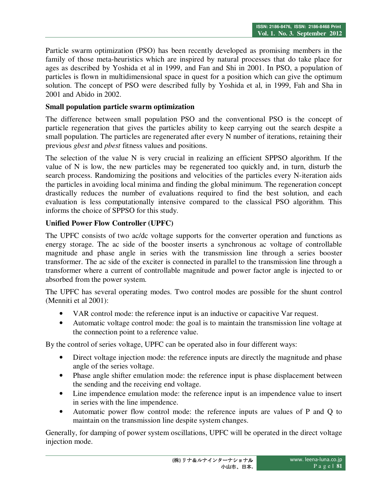Particle swarm optimization (PSO) has been recently developed as promising members in the family of those meta-heuristics which are inspired by natural processes that do take place for ages as described by Yoshida et al in 1999, and Fan and Shi in 2001. In PSO, a population of particles is flown in multidimensional space in quest for a position which can give the optimum solution. The concept of PSO were described fully by Yoshida et al, in 1999, Fah and Sha in 2001 and Abido in 2002.

### **Small population particle swarm optimization**

The difference between small population PSO and the conventional PSO is the concept of particle regeneration that gives the particles ability to keep carrying out the search despite a small population. The particles are regenerated after every N number of iterations, retaining their previous *gbest* and *pbest* fitness values and positions.

The selection of the value N is very crucial in realizing an efficient SPPSO algorithm. If the value of N is low, the new particles may be regenerated too quickly and, in turn, disturb the search process. Randomizing the positions and velocities of the particles every N-iteration aids the particles in avoiding local minima and finding the global minimum. The regeneration concept drastically reduces the number of evaluations required to find the best solution, and each evaluation is less computationally intensive compared to the classical PSO algorithm. This informs the choice of SPPSO for this study.

## **Unified Power Flow Controller (UPFC)**

The UPFC consists of two ac/dc voltage supports for the converter operation and functions as energy storage. The ac side of the booster inserts a synchronous ac voltage of controllable magnitude and phase angle in series with the transmission line through a series booster transformer. The ac side of the exciter is connected in parallel to the transmission line through a transformer where a current of controllable magnitude and power factor angle is injected to or absorbed from the power system.

The UPFC has several operating modes. Two control modes are possible for the shunt control (Menniti et al 2001):

- VAR control mode: the reference input is an inductive or capacitive Var request.
- Automatic voltage control mode: the goal is to maintain the transmission line voltage at the connection point to a reference value.

By the control of series voltage, UPFC can be operated also in four different ways:

- Direct voltage injection mode: the reference inputs are directly the magnitude and phase angle of the series voltage.
- Phase angle shifter emulation mode: the reference input is phase displacement between the sending and the receiving end voltage.
- Line impendence emulation mode: the reference input is an impendence value to insert in series with the line impendence.
- Automatic power flow control mode: the reference inputs are values of P and Q to maintain on the transmission line despite system changes.

Generally, for damping of power system oscillations, UPFC will be operated in the direct voltage injection mode.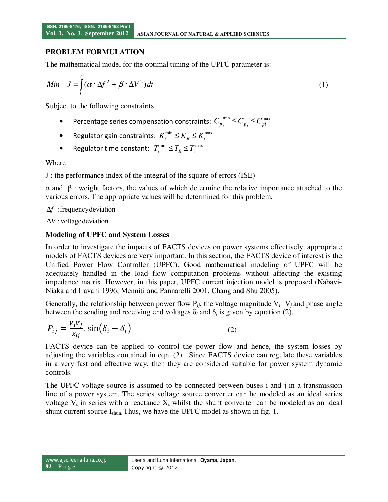### **PROBLEM FORMULATION**

The mathematical model for the optimal tuning of the UPFC parameter is:

$$
Min \quad J = \int_{0}^{t} (\alpha \cdot \Delta f^{2} + \beta \cdot \Delta V^{2}) dt
$$
 (1)

Subject to the following constraints

- Percentage series compensation constraints:  $C_{p_i}^{min} \leq C_{p_i} \leq C_{pi}^{max}$
- Regulator gain constraints:  $K_i^{\min} \le K_R \le K_i^{\max}$
- Regulator time constant:  $T_i^{\min} \le T_R \le T_i^{\max}$

Where

J : the performance index of the integral of the square of errors (ISE)

α and β : weight factors, the values of which determine the relative importance attached to the various errors. The appropriate values will be determined for this problem.

:frequency deviation *f* ∆

∆V : voltage deviation

### **Modeling of UPFC and System Losses**

In order to investigate the impacts of FACTS devices on power systems effectively, appropriate models of FACTS devices are very important. In this section, the FACTS device of interest is the Unified Power Flow Controller (UPFC). Good mathematical modeling of UPFC will be adequately handled in the load flow computation problems without affecting the existing impedance matrix. However, in this paper, UPFC current injection model is proposed (Nabavi-Niaka and Iravani 1996, Menniti and Pannarelli 2001, Chang and Shu 2005).

Generally, the relationship between power flow  $P_{ii}$ , the voltage magnitude  $V_i$ ,  $V_i$  and phase angle between the sending and receiving end voltages  $\delta_i$  and  $\delta_j$  is given by equation (2).

$$
P_{ij} = \frac{V_i V_j}{x_{ij}} \cdot \sin(\delta_i - \delta_j) \tag{2}
$$

FACTS device can be applied to control the power flow and hence, the system losses by adjusting the variables contained in eqn. (2). Since FACTS device can regulate these variables in a very fast and effective way, then they are considered suitable for power system dynamic controls.

The UPFC voltage source is assumed to be connected between buses i and j in a transmission line of a power system. The series voltage source converter can be modeled as an ideal series voltage  $V_s$  in series with a reactance  $X_s$  whilst the shunt converter can be modeled as an ideal shunt current source I<sub>shun</sub>. Thus, we have the UPFC model as shown in fig. 1.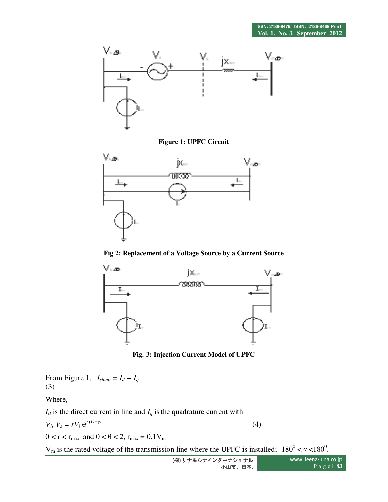

**Figure 1: UPFC Circuit** 



**Fig 2: Replacement of a Voltage Source by a Current Source** 



**Fig. 3: Injection Current Model of UPFC** 

From Figure 1,  $I_{shunt} = I_d + I_q$ (3)

Where,

 $I_d$  is the direct current in line and  $I_q$  is the quadrature current with

$$
V_i, V_s = rV_i e^{j(\theta + \gamma)}
$$
\n<sup>(4)</sup>

 $0 < r < r_{\text{max}}$  and  $0 < \theta < 2$ ,  $r_{\text{max}} = 0.1 V_{\text{m}}$ 

V<sub>m</sub> is the rated voltage of the transmission line where the UPFC is installed;  $-180^{\circ} < \gamma < 180^{\circ}$ .

**(**株**)** リナ&ルナインターナショナル 小山市、日本**.** www. leena-luna.co.jp P a g e **| 83**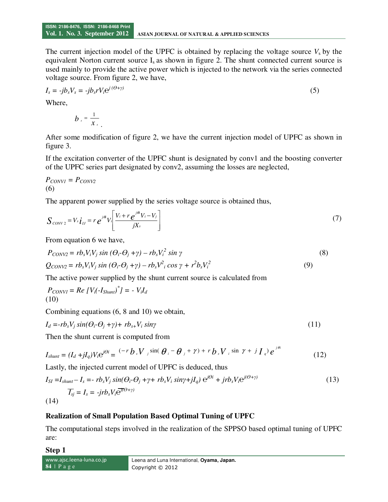The current injection model of the UPFC is obtained by replacing the voltage source  $V<sub>s</sub>$  by the equivalent Norton current source  $I_s$  as shown in figure 2. The shunt connected current source is used mainly to provide the active power which is injected to the network via the series connected voltage source. From figure 2, we have,

$$
I_s = -jb_s V_s = -jb_s r V_i e^{j(\theta + \gamma)}
$$
\n<sup>(5)</sup>

Where,

$$
b_{s}=\frac{1}{x_{s}}
$$

.

After some modification of figure 2, we have the current injection model of UPFC as shown in figure 3.

If the excitation converter of the UPFC shunt is designated by conv1 and the boosting converter of the UPFC series part designated by conv2, assuming the losses are neglected,

$$
P_{CONVI} = P_{CONV2}
$$
  
(6)

The apparent power supplied by the series voltage source is obtained thus,

$$
S_{\text{conv}_2} = V_s \boldsymbol{i}_1 = r e^{j\theta} V_i \left[ \frac{V_i + r e^{j\theta} V_i - V_j}{jX_s} \right]
$$
 (7)

From equation 6 we have,

$$
P_{CONV2} = rb_s V_i V_j \sin (\theta_i \cdot \theta_j + \gamma) - rb_s V_i^2 \sin \gamma
$$
  
\n
$$
Q_{CONV2} = rb_s V_i V_j \sin (\theta_i \cdot \theta_j + \gamma) - rb_s V_i^2 \cos \gamma + r^2 b_s V_i^2
$$
\n(9)

The active power supplied by the shunt current source is calculated from

$$
P_{CONVI} = Re [V_i(-I_{Shunt})^{\dagger}] = - V_i I_d
$$
\n(10)

Combining equations (6, 8 and 10) we obtain,

$$
I_d = -rb_sV_j\sin(\theta_i \cdot \theta_j + \gamma) + rb_{s+}V_i\sin\gamma \tag{11}
$$

Then the shunt current is computed from

$$
I_{shunt} = (I_d + jI_q)V_i e^{j\theta i} = \frac{(-r b_s V_j \sin(\theta_i - \theta_j + \gamma) + r b_s V_i \sin \gamma + j I_q e^{j\theta i}}{12}
$$

Lastly, the injected current model of UPFC is deduced, thus

$$
I_{SI} = I_{shunt} - I_s = -rb_sV_j\sin(\theta_i - \theta_j + \gamma + rb_sV_i\sin\gamma + jI_q)\ e^{j\theta i} + jrb_sV_i e^{j(\theta + \gamma)}
$$
  
(13)  

$$
\overline{I_{sj}} = I_s = -jrb_sV_i \overline{e^{j(\theta + \gamma)}}
$$

## **Realization of Small Population Based Optimal Tuning of UPFC**

The computational steps involved in the realization of the SPPSO based optimal tuning of UPFC are:

**Step 1** 

www.ajsc.leena-luna.co.jp **84** | P a g e Leena and Luna International, **Oyama, Japan.**  Copyright © 2012

**ISSN: 2186-8476, ISSN: 2186-8468 Print**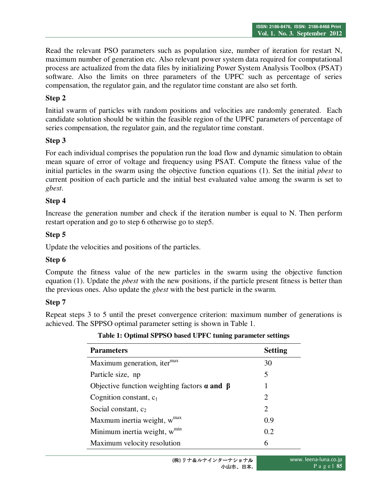Read the relevant PSO parameters such as population size, number of iteration for restart N, maximum number of generation etc. Also relevant power system data required for computational process are actualized from the data files by initializing Power System Analysis Toolbox (PSAT) software. Also the limits on three parameters of the UPFC such as percentage of series compensation, the regulator gain, and the regulator time constant are also set forth.

## **Step 2**

Initial swarm of particles with random positions and velocities are randomly generated. Each candidate solution should be within the feasible region of the UPFC parameters of percentage of series compensation, the regulator gain, and the regulator time constant.

## **Step 3**

For each individual comprises the population run the load flow and dynamic simulation to obtain mean square of error of voltage and frequency using PSAT. Compute the fitness value of the initial particles in the swarm using the objective function equations (1). Set the initial *pbest* to current position of each particle and the initial best evaluated value among the swarm is set to *gbest*.

## **Step 4**

Increase the generation number and check if the iteration number is equal to N. Then perform restart operation and go to step 6 otherwise go to step5.

## **Step 5**

Update the velocities and positions of the particles.

## **Step 6**

Compute the fitness value of the new particles in the swarm using the objective function equation (1). Update the *pbest* with the new positions, if the particle present fitness is better than the previous ones. Also update the *gbest* with the best particle in the swarm.

# **Step 7**

Repeat steps 3 to 5 until the preset convergence criterion: maximum number of generations is achieved. The SPPSO optimal parameter setting is shown in Table 1.

| <b>Parameters</b>                                         | <b>Setting</b>              |
|-----------------------------------------------------------|-----------------------------|
| Maximum generation, iter <sup>max</sup>                   | 30                          |
| Particle size, np                                         | 5                           |
| Objective function weighting factors $\alpha$ and $\beta$ | 1                           |
| Cognition constant, $c_1$                                 | 2                           |
| Social constant, $c_2$                                    | $\mathcal{D}_{\mathcal{L}}$ |
| Maxmum inertia weight, w <sup>max</sup>                   | 0.9                         |
| Minimum inertia weight, w <sup>min</sup>                  | 0.2                         |
| Maximum velocity resolution                               | 6                           |

### **Table 1: Optimal SPPSO based UPFC tuning parameter settings**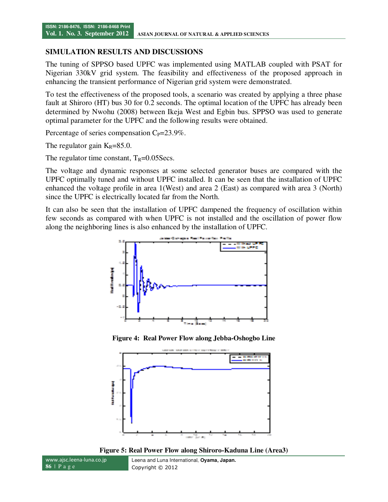### **SIMULATION RESULTS AND DISCUSSIONS**

The tuning of SPPSO based UPFC was implemented using MATLAB coupled with PSAT for Nigerian 330kV grid system. The feasibility and effectiveness of the proposed approach in enhancing the transient performance of Nigerian grid system were demonstrated.

To test the effectiveness of the proposed tools, a scenario was created by applying a three phase fault at Shiroro (HT) bus 30 for 0.2 seconds. The optimal location of the UPFC has already been determined by Nwohu (2008) between Ikeja West and Egbin bus. SPPSO was used to generate optimal parameter for the UPFC and the following results were obtained.

Percentage of series compensation  $C_P = 23.9\%$ .

The regulator gain  $K_R = 85.0$ .

The regulator time constant,  $T_R=0.05$ Secs.

The voltage and dynamic responses at some selected generator buses are compared with the UPFC optimally tuned and without UPFC installed. It can be seen that the installation of UPFC enhanced the voltage profile in area 1(West) and area 2 (East) as compared with area 3 (North) since the UPFC is electrically located far from the North.

It can also be seen that the installation of UPFC dampened the frequency of oscillation within few seconds as compared with when UPFC is not installed and the oscillation of power flow along the neighboring lines is also enhanced by the installation of UPFC.



**Figure 4: Real Power Flow along Jebba-Oshogbo Line** 





www.ajsc.leena-luna.co.jp **86** | P a g e Leena and Luna International, **Oyama, Japan.**  Copyright © 2012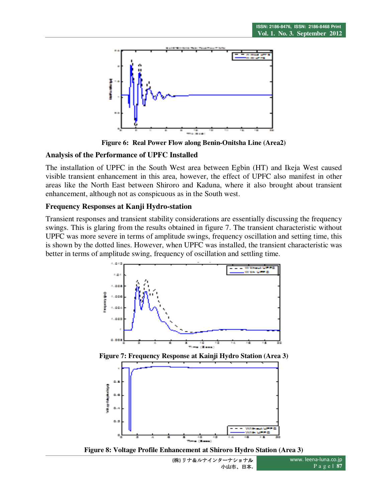

**Figure 6: Real Power Flow along Benin-Onitsha Line (Area2)** 

### **Analysis of the Performance of UPFC Installed**

The installation of UPFC in the South West area between Egbin (HT) and Ikeja West caused visible transient enhancement in this area, however, the effect of UPFC also manifest in other areas like the North East between Shiroro and Kaduna, where it also brought about transient enhancement, although not as conspicuous as in the South west.

### **Frequency Responses at Kanji Hydro-station**

Transient responses and transient stability considerations are essentially discussing the frequency swings. This is glaring from the results obtained in figure 7. The transient characteristic without UPFC was more severe in terms of amplitude swings, frequency oscillation and setting time, this is shown by the dotted lines. However, when UPFC was installed, the transient characteristic was better in terms of amplitude swing, frequency of oscillation and settling time.



**Figure 7: Frequency Response at Kainji Hydro Station (Area 3)** 



**Figure 8: Voltage Profile Enhancement at Shiroro Hydro Station (Area 3)** 

**(**株**)** リナ&ルナインターナショナル 小山市、日本**.** www. leena-luna.co.jp P a g e **| 87**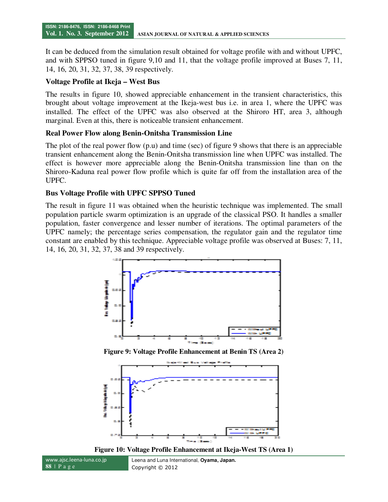It can be deduced from the simulation result obtained for voltage profile with and without UPFC, and with SPPSO tuned in figure 9,10 and 11, that the voltage profile improved at Buses 7, 11, 14, 16, 20, 31, 32, 37, 38, 39 respectively.

### **Voltage Profile at Ikeja – West Bus**

The results in figure 10, showed appreciable enhancement in the transient characteristics, this brought about voltage improvement at the Ikeja-west bus i.e. in area 1, where the UPFC was installed. The effect of the UPFC was also observed at the Shiroro HT, area 3, although marginal. Even at this, there is noticeable transient enhancement.

### **Real Power Flow along Benin-Onitsha Transmission Line**

The plot of the real power flow (p.u) and time (sec) of figure 9 shows that there is an appreciable transient enhancement along the Benin-Onitsha transmission line when UPFC was installed. The effect is however more appreciable along the Benin-Onitsha transmission line than on the Shiroro-Kaduna real power flow profile which is quite far off from the installation area of the UPFC.

### **Bus Voltage Profile with UPFC SPPSO Tuned**

The result in figure 11 was obtained when the heuristic technique was implemented. The small population particle swarm optimization is an upgrade of the classical PSO. It handles a smaller population, faster convergence and lesser number of iterations. The optimal parameters of the UPFC namely; the percentage series compensation, the regulator gain and the regulator time constant are enabled by this technique. Appreciable voltage profile was observed at Buses: 7, 11, 14, 16, 20, 31, 32, 37, 38 and 39 respectively.



**Figure 9: Voltage Profile Enhancement at Benin TS (Area 2)** 



**Figure 10: Voltage Profile Enhancement at Ikeja-West TS (Area 1)** 

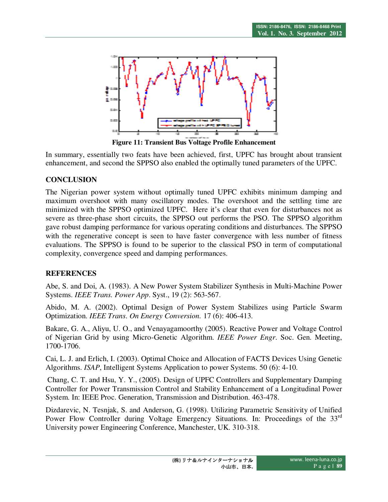

**Figure 11: Transient Bus Voltage Profile Enhancement** 

In summary, essentially two feats have been achieved, first, UPFC has brought about transient enhancement, and second the SPPSO also enabled the optimally tuned parameters of the UPFC.

# **CONCLUSION**

The Nigerian power system without optimally tuned UPFC exhibits minimum damping and maximum overshoot with many oscillatory modes. The overshoot and the settling time are minimized with the SPPSO optimized UPFC. Here it's clear that even for disturbances not as severe as three-phase short circuits, the SPPSO out performs the PSO. The SPPSO algorithm gave robust damping performance for various operating conditions and disturbances. The SPPSO with the regenerative concept is seen to have faster convergence with less number of fitness evaluations. The SPPSO is found to be superior to the classical PSO in term of computational complexity, convergence speed and damping performances.

# **REFERENCES**

Abe, S. and Doi, A. (1983). A New Power System Stabilizer Synthesis in Multi-Machine Power Systems. *IEEE Trans. Power App*. Syst., 19 (2): 563-567.

Abido, M. A. (2002). Optimal Design of Power System Stabilizes using Particle Swarm Optimization. *IEEE Trans*. *On Energy Conversion.* 17 (6): 406-413.

Bakare, G. A., Aliyu, U. O., and Venayagamoorthy (2005). Reactive Power and Voltage Control of Nigerian Grid by using Micro-Genetic Algorithm. *IEEE Power Engr*. Soc. Gen. Meeting, 1700-1706.

Cai, L. J. and Erlich, I. (2003). Optimal Choice and Allocation of FACTS Devices Using Genetic Algorithms. *ISAP*, Intelligent Systems Application to power Systems. 50 (6): 4-10.

 Chang, C. T. and Hsu, Y. Y., (2005). Design of UPFC Controllers and Supplementary Damping Controller for Power Transmission Control and Stability Enhancement of a Longitudinal Power System. In: IEEE Proc. Generation, Transmission and Distribution. 463-478.

Dizdarevic, N. Tesnjak, S. and Anderson, G. (1998). Utilizing Parametric Sensitivity of Unified Power Flow Controller during Voltage Emergency Situations. In: Proceedings of the 33<sup>rd</sup> University power Engineering Conference, Manchester, UK. 310-318.